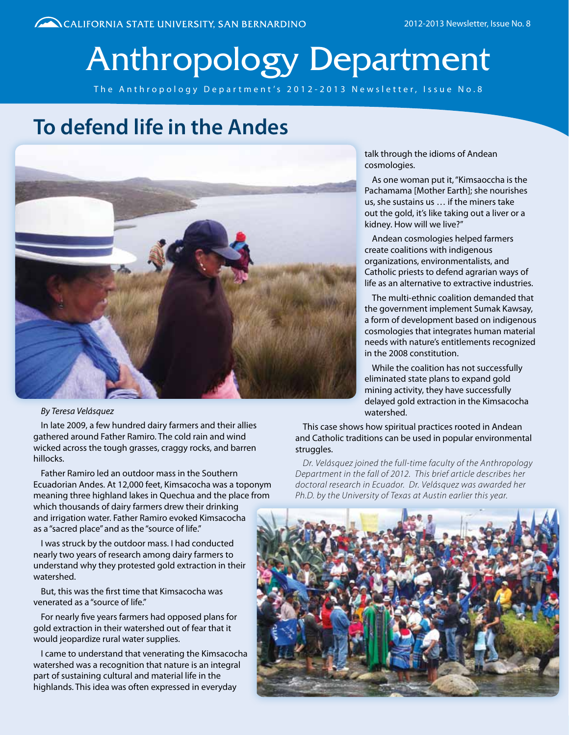# Anthropology Department

The Anthropology Department's 2012-2013 Newsletter, Issue No.8

### **To defend life in the Andes**



#### *By Teresa Velásquez*

In late 2009, a few hundred dairy farmers and their allies gathered around Father Ramiro. The cold rain and wind wicked across the tough grasses, craggy rocks, and barren hillocks.

Father Ramiro led an outdoor mass in the Southern Ecuadorian Andes. At 12,000 feet, Kimsacocha was a toponym meaning three highland lakes in Quechua and the place from which thousands of dairy farmers drew their drinking and irrigation water. Father Ramiro evoked Kimsacocha as a "sacred place" and as the "source of life."

I was struck by the outdoor mass. I had conducted nearly two years of research among dairy farmers to understand why they protested gold extraction in their watershed.

But, this was the first time that Kimsacocha was venerated as a "source of life."

For nearly five years farmers had opposed plans for gold extraction in their watershed out of fear that it would jeopardize rural water supplies.

I came to understand that venerating the Kimsacocha watershed was a recognition that nature is an integral part of sustaining cultural and material life in the highlands. This idea was often expressed in everyday

talk through the idioms of Andean cosmologies.

As one woman put it, "Kimsaoccha is the Pachamama [Mother Earth]; she nourishes us, she sustains us … if the miners take out the gold, it's like taking out a liver or a kidney. How will we live?"

Andean cosmologies helped farmers create coalitions with indigenous organizations, environmentalists, and Catholic priests to defend agrarian ways of life as an alternative to extractive industries.

The multi-ethnic coalition demanded that the government implement Sumak Kawsay, a form of development based on indigenous cosmologies that integrates human material needs with nature's entitlements recognized in the 2008 constitution.

While the coalition has not successfully eliminated state plans to expand gold mining activity, they have successfully delayed gold extraction in the Kimsacocha watershed.

This case shows how spiritual practices rooted in Andean and Catholic traditions can be used in popular environmental struggles.

*Dr. Velásquez joined the full-time faculty of the Anthropology Department in the fall of 2012. This brief article describes her doctoral research in Ecuador. Dr. Velásquez was awarded her Ph.D. by the University of Texas at Austin earlier this year.*

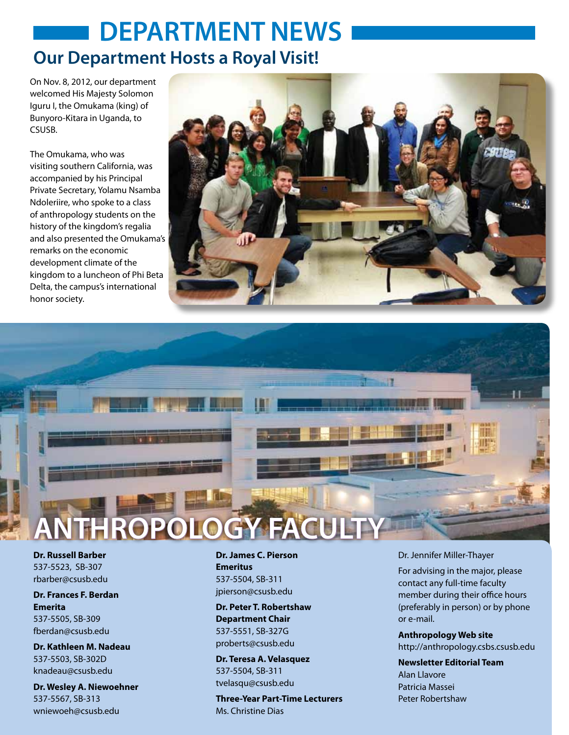### **DEPARTMENT NEWS Our Department Hosts a Royal Visit!**

On Nov. 8, 2012, our department welcomed His Majesty Solomon Iguru I, the Omukama (king) of Bunyoro-Kitara in Uganda, to **CSUSB.** 

The Omukama, who was visiting southern California, was accompanied by his Principal Private Secretary, Yolamu Nsamba Ndoleriire, who spoke to a class of anthropology students on the history of the kingdom's regalia and also presented the Omukama's remarks on the economic development climate of the kingdom to a luncheon of Phi Beta Delta, the campus's international honor society.





**Dr. Russell Barber** 537-5523, SB-307 rbarber@csusb.edu

**Dr. Frances F. Berdan** 

**Emerita** 537-5505, SB-309 fberdan@csusb.edu

**Dr. Kathleen M. Nadeau** 537-5503, SB-302D knadeau@csusb.edu

**Dr. Wesley A. Niewoehner** 537-5567, SB-313 wniewoeh@csusb.edu

**Dr. James C. Pierson Emeritus** 537-5504, SB-311 jpierson@csusb.edu

**Dr. Peter T. Robertshaw Department Chair** 537-5551, SB-327G proberts@csusb.edu

**Dr. Teresa A. Velasquez** 537-5504, SB-311 tvelasqu@csusb.edu

**Three-Year Part-Time Lecturers** Ms. Christine Dias

Dr. Jennifer Miller-Thayer

For advising in the major, please contact any full-time faculty member during their office hours (preferably in person) or by phone or e-mail.

**Anthropology Web site** http://anthropology.csbs.csusb.edu

**Newsletter Editorial Team** Alan Llavore Patricia Massei Peter Robertshaw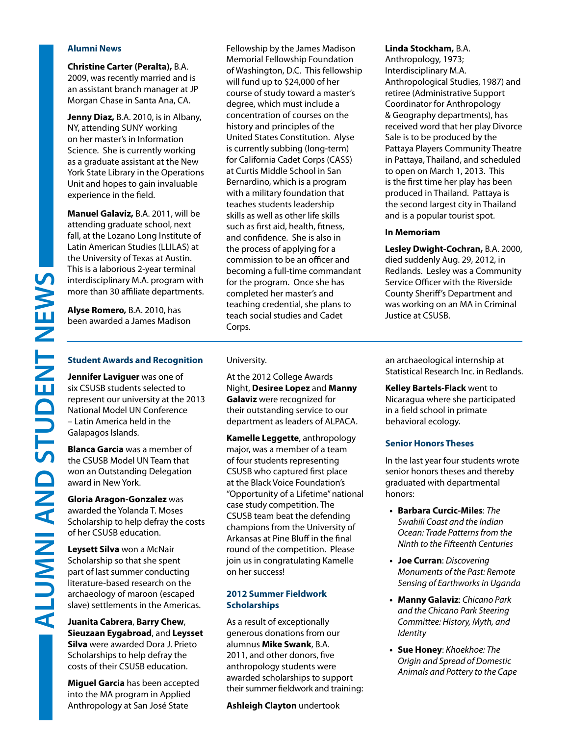#### **Alumni News**

**Christine Carter (Peralta),** B.A. 2009, was recently married and is an assistant branch manager at JP Morgan Chase in Santa Ana, CA.

**Jenny Diaz,** B.A. 2010, is in Albany, NY, attending SUNY working on her master's in Information Science. She is currently working as a graduate assistant at the New York State Library in the Operations Unit and hopes to gain invaluable experience in the field.

**Manuel Galaviz,** B.A. 2011, will be attending graduate school, next fall, at the Lozano Long Institute of Latin American Studies (LLILAS) at the University of Texas at Austin. This is a laborious 2-year terminal interdisciplinary M.A. program with more than 30 affiliate departments.

**Alyse Romero,** B.A. 2010, has been awarded a James Madison

**Student Awards and Recognition**

**Jennifer Laviguer** was one of six CSUSB students selected to represent our university at the 2013 National Model UN Conference – Latin America held in the Galapagos Islands.

**Blanca Garcia** was a member of the CSUSB Model UN Team that won an Outstanding Delegation award in New York.

**Gloria Aragon-Gonzalez** was awarded the Yolanda T. Moses Scholarship to help defray the costs of her CSUSB education.

**Leysett Silva** won a McNair Scholarship so that she spent part of last summer conducting literature-based research on the archaeology of maroon (escaped slave) settlements in the Americas.

**Juanita Cabrera**, **Barry Chew**, **Sieuzaan Eygabroad**, and **Leysset Silva** were awarded Dora J. Prieto Scholarships to help defray the costs of their CSUSB education.

**Miguel Garcia** has been accepted into the MA program in Applied Anthropology at San José State

Fellowship by the James Madison Memorial Fellowship Foundation of Washington, D.C. This fellowship will fund up to \$24,000 of her course of study toward a master's degree, which must include a concentration of courses on the history and principles of the United States Constitution. Alyse is currently subbing (long-term) for California Cadet Corps (CASS) at Curtis Middle School in San Bernardino, which is a program with a military foundation that teaches students leadership skills as well as other life skills such as first aid, health, fitness, and confidence. She is also in the process of applying for a commission to be an officer and becoming a full-time commandant for the program. Once she has completed her master's and teaching credential, she plans to teach social studies and Cadet Corps.

#### **Linda Stockham,** B.A.

Anthropology, 1973; Interdisciplinary M.A. Anthropological Studies, 1987) and retiree (Administrative Support Coordinator for Anthropology & Geography departments), has received word that her play Divorce Sale is to be produced by the Pattaya Players Community Theatre in Pattaya, Thailand, and scheduled to open on March 1, 2013. This is the first time her play has been produced in Thailand. Pattaya is the second largest city in Thailand and is a popular tourist spot.

#### **In Memoriam**

**Lesley Dwight-Cochran,** B.A. 2000, died suddenly Aug. 29, 2012, in Redlands. Lesley was a Community Service Officer with the Riverside County Sheriff's Department and was working on an MA in Criminal Justice at CSUSB.

#### University.

At the 2012 College Awards Night, **Desiree Lopez** and **Manny Galaviz** were recognized for their outstanding service to our department as leaders of ALPACA.

**Kamelle Leggette**, anthropology major, was a member of a team of four students representing CSUSB who captured first place at the Black Voice Foundation's "Opportunity of a Lifetime" national case study competition. The CSUSB team beat the defending champions from the University of Arkansas at Pine Bluff in the final round of the competition. Please join us in congratulating Kamelle on her success!

#### **2012 Summer Fieldwork Scholarships**

As a result of exceptionally generous donations from our alumnus **Mike Swank**, B.A. 2011, and other donors, five anthropology students were awarded scholarships to support their summer fieldwork and training:

**Ashleigh Clayton** undertook

an archaeological internship at Statistical Research Inc. in Redlands.

**Kelley Bartels-Flack** went to Nicaragua where she participated in a field school in primate behavioral ecology.

#### **Senior Honors Theses**

In the last year four students wrote senior honors theses and thereby graduated with departmental honors:

- **• Barbara Curcic-Miles**: *The Swahili Coast and the Indian Ocean: Trade Patterns from the Ninth to the Fifteenth Centuries*
- **• Joe Curran**: *Discovering Monuments of the Past: Remote Sensing of Earthworks in Uganda*
- **• Manny Galaviz**: *Chicano Park and the Chicano Park Steering Committee: History, Myth, and Identity*
- **• Sue Honey**: *Khoekhoe: The Origin and Spread of Domestic Animals and Pottery to the Cape*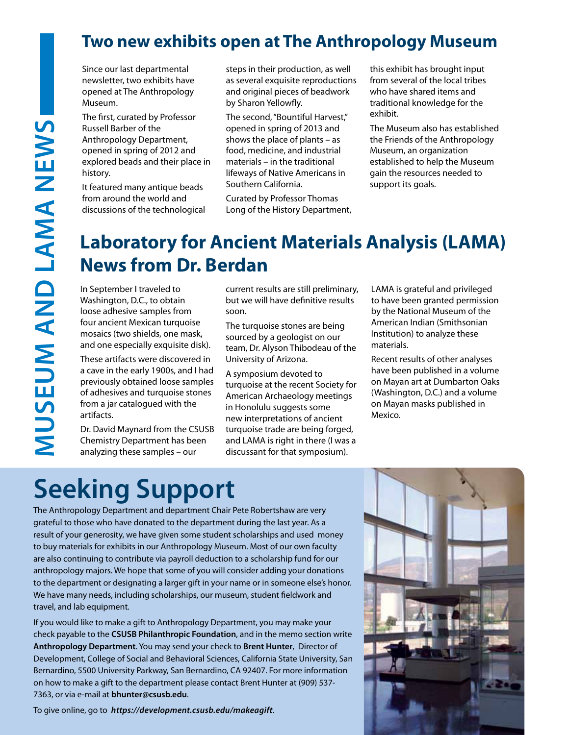### **Two new exhibits open at The Anthropology Museum**

Since our last departmental newsletter, two exhibits have opened at The Anthropology Museum.

The first, curated by Professor Russell Barber of the Anthropology Department, opened in spring of 2012 and explored beads and their place in history.

It featured many antique beads from around the world and discussions of the technological steps in their production, as well as several exquisite reproductions and original pieces of beadwork by Sharon Yellowfly.

The second, "Bountiful Harvest," opened in spring of 2013 and shows the place of plants – as food, medicine, and industrial materials – in the traditional lifeways of Native Americans in Southern California.

Curated by Professor Thomas Long of the History Department, this exhibit has brought input from several of the local tribes who have shared items and traditional knowledge for the exhibit.

The Museum also has established the Friends of the Anthropology Museum, an organization established to help the Museum gain the resources needed to support its goals.

### **Laboratory for Ancient Materials Analysis (LAMA) News from Dr. Berdan**

In September I traveled to Washington, D.C., to obtain loose adhesive samples from four ancient Mexican turquoise mosaics (two shields, one mask, and one especially exquisite disk).

These artifacts were discovered in a cave in the early 1900s, and I had previously obtained loose samples of adhesives and turquoise stones from a jar catalogued with the artifacts.

Dr. David Maynard from the CSUSB Chemistry Department has been analyzing these samples – our

current results are still preliminary, but we will have definitive results soon.

The turquoise stones are being sourced by a geologist on our team, Dr. Alyson Thibodeau of the University of Arizona.

A symposium devoted to turquoise at the recent Society for American Archaeology meetings in Honolulu suggests some new interpretations of ancient turquoise trade are being forged, and LAMA is right in there (I was a discussant for that symposium).

LAMA is grateful and privileged to have been granted permission by the National Museum of the American Indian (Smithsonian Institution) to analyze these materials.

Recent results of other analyses have been published in a volume on Mayan art at Dumbarton Oaks (Washington, D.C.) and a volume on Mayan masks published in Mexico.

## **Seeking Support**

The Anthropology Department and department Chair Pete Robertshaw are very grateful to those who have donated to the department during the last year. As a result of your generosity, we have given some student scholarships and used money to buy materials for exhibits in our Anthropology Museum. Most of our own faculty are also continuing to contribute via payroll deduction to a scholarship fund for our anthropology majors. We hope that some of you will consider adding your donations to the department or designating a larger gift in your name or in someone else's honor. We have many needs, including scholarships, our museum, student fieldwork and travel, and lab equipment.

If you would like to make a gift to Anthropology Department, you may make your check payable to the **CSUSB Philanthropic Foundation**, and in the memo section write **Anthropology Department**. You may send your check to **Brent Hunter**, Director of Development, College of Social and Behavioral Sciences, California State University, San Bernardino, 5500 University Parkway, San Bernardino, CA 92407. For more information on how to make a gift to the department please contact Brent Hunter at (909) 537- 7363, or via e-mail at **bhunter@csusb.edu**.

To give online, go to *https://development.csusb.edu/makeagift*.

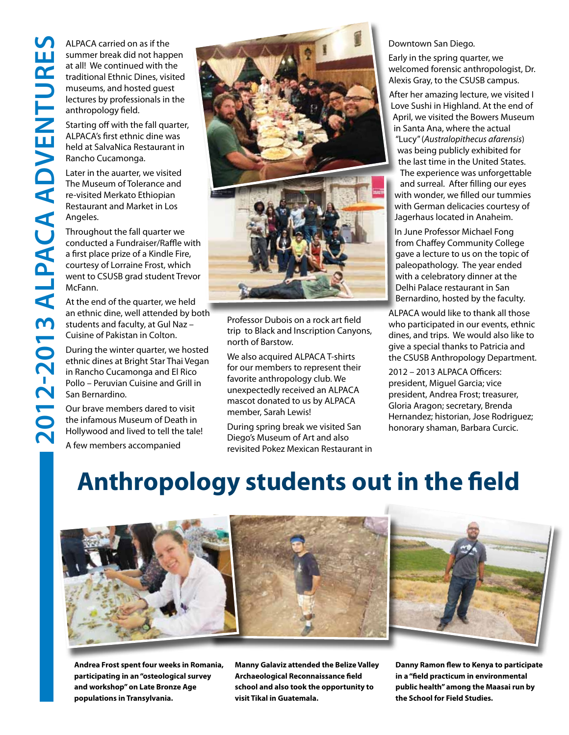ALPACA carried on as if the summer break did not happen at all! We continued with the traditional Ethnic Dines, visited museums, and hosted guest lectures by professionals in the anthropology field.

Starting off with the fall quarter, ALPACA's first ethnic dine was held at SalvaNica Restaurant in Rancho Cucamonga.

Later in the auarter, we visited The Museum of Tolerance and re-visited Merkato Ethiopian Restaurant and Market in Los Angeles.

Throughout the fall quarter we conducted a Fundraiser/Raffle with a first place prize of a Kindle Fire, courtesy of Lorraine Frost, which went to CSUSB grad student Trevor McFann.

At the end of the quarter, we held an ethnic dine, well attended by both students and faculty, at Gul Naz – Cuisine of Pakistan in Colton.

During the winter quarter, we hosted ethnic dines at Bright Star Thai Vegan in Rancho Cucamonga and El Rico Pollo – Peruvian Cuisine and Grill in San Bernardino.

Our brave members dared to visit the infamous Museum of Death in Hollywood and lived to tell the tale!

A few members accompanied



Professor Dubois on a rock art field trip to Black and Inscription Canyons, north of Barstow.

We also acquired ALPACA T-shirts for our members to represent their favorite anthropology club. We unexpectedly received an ALPACA mascot donated to us by ALPACA member, Sarah Lewis!

During spring break we visited San Diego's Museum of Art and also revisited Pokez Mexican Restaurant in

#### Downtown San Diego.

Early in the spring quarter, we welcomed forensic anthropologist, Dr. Alexis Gray, to the CSUSB campus.

After her amazing lecture, we visited I Love Sushi in Highland. At the end of April, we visited the Bowers Museum in Santa Ana, where the actual "Lucy" (*Australopithecus afarensis*) was being publicly exhibited for the last time in the United States. The experience was unforgettable and surreal. After filling our eyes with wonder, we filled our tummies with German delicacies courtesy of Jagerhaus located in Anaheim.

In June Professor Michael Fong from Chaffey Community College gave a lecture to us on the topic of paleopathology. The year ended with a celebratory dinner at the Delhi Palace restaurant in San Bernardino, hosted by the faculty.

ALPACA would like to thank all those who participated in our events, ethnic dines, and trips. We would also like to give a special thanks to Patricia and the CSUSB Anthropology Department.

2012 – 2013 ALPACA Officers: president, Miguel Garcia; vice president, Andrea Frost; treasurer, Gloria Aragon; secretary, Brenda Hernandez; historian, Jose Rodriguez; honorary shaman, Barbara Curcic.

## **Anthropology students out in the field**



**Andrea Frost spent four weeks in Romania, participating in an "osteological survey and workshop" on Late Bronze Age populations in Transylvania.** 

**Manny Galaviz attended the Belize Valley Archaeological Reconnaissance field school and also took the opportunity to visit Tikal in Guatemala.**

**Danny Ramon flew to Kenya to participate in a "field practicum in environmental public health" among the Maasai run by the School for Field Studies.**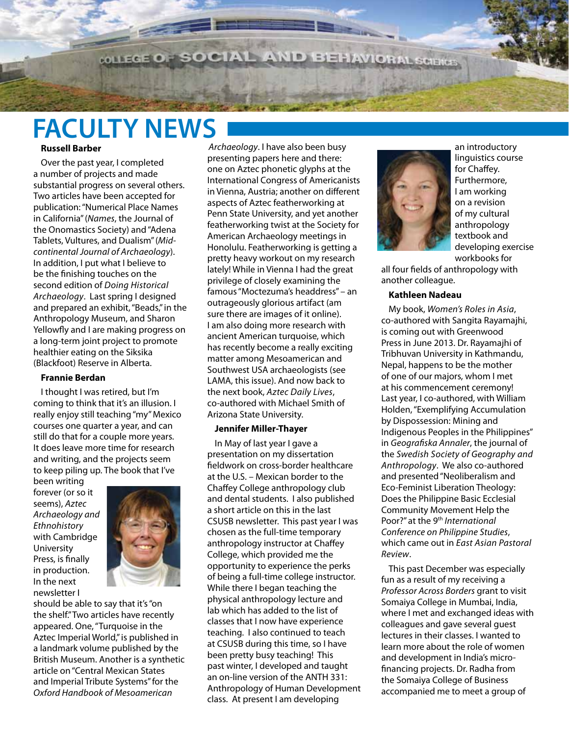**MILEGE OF SOCIAL AND BEHAVIOR** 

## **FACULTY NEWS**

- 25

#### **Russell Barber**

Over the past year, I completed a number of projects and made substantial progress on several others. Two articles have been accepted for publication: "Numerical Place Names in California" (*Names*, the Journal of the Onomastics Society) and "Adena Tablets, Vultures, and Dualism" (*Midcontinental Journal of Archaeology*). In addition, I put what I believe to be the finishing touches on the second edition of *Doing Historical Archaeology*. Last spring I designed and prepared an exhibit, "Beads," in the Anthropology Museum, and Sharon Yellowfly and I are making progress on a long-term joint project to promote healthier eating on the Siksika (Blackfoot) Reserve in Alberta.

#### **Frannie Berdan**

I thought I was retired, but I'm coming to think that it's an illusion. I really enjoy still teaching "my" Mexico courses one quarter a year, and can still do that for a couple more years. It does leave more time for research and writing, and the projects seem to keep piling up. The book that I've

been writing forever (or so it seems), *Aztec Archaeology and Ethnohistory*  with Cambridge University Press, is finally in production. In the next newsletter I



should be able to say that it's "on the shelf." Two articles have recently appeared. One, "Turquoise in the Aztec Imperial World," is published in a landmark volume published by the British Museum. Another is a synthetic article on "Central Mexican States and Imperial Tribute Systems" for the *Oxford Handbook of Mesoamerican* 

*Archaeology*. I have also been busy presenting papers here and there: one on Aztec phonetic glyphs at the International Congress of Americanists in Vienna, Austria; another on different aspects of Aztec featherworking at Penn State University, and yet another featherworking twist at the Society for American Archaeology meetings in Honolulu. Featherworking is getting a pretty heavy workout on my research lately! While in Vienna I had the great privilege of closely examining the famous "Moctezuma's headdress" – an outrageously glorious artifact (am sure there are images of it online). I am also doing more research with ancient American turquoise, which has recently become a really exciting matter among Mesoamerican and Southwest USA archaeologists (see LAMA, this issue). And now back to the next book, *Aztec Daily Lives*, co-authored with Michael Smith of Arizona State University.

#### **Jennifer Miller-Thayer**

In May of last year I gave a presentation on my dissertation fieldwork on cross-border healthcare at the U.S. – Mexican border to the Chaffey College anthropology club and dental students. I also published a short article on this in the last CSUSB newsletter. This past year I was chosen as the full-time temporary anthropology instructor at Chaffey College, which provided me the opportunity to experience the perks of being a full-time college instructor. While there I began teaching the physical anthropology lecture and lab which has added to the list of classes that I now have experience teaching. I also continued to teach at CSUSB during this time, so I have been pretty busy teaching! This past winter, I developed and taught an on-line version of the ANTH 331: Anthropology of Human Development class. At present I am developing



an introductory linguistics course for Chaffey. Furthermore, I am working on a revision of my cultural anthropology textbook and developing exercise workbooks for

all four fields of anthropology with another colleague.

#### **Kathleen Nadeau**

My book, *Women's Roles in Asia*, co-authored with Sangita Rayamajhi, is coming out with Greenwood Press in June 2013. Dr. Rayamajhi of Tribhuvan University in Kathmandu, Nepal, happens to be the mother of one of our majors, whom I met at his commencement ceremony! Last year, I co-authored, with William Holden, "Exemplifying Accumulation by Dispossession: Mining and Indigenous Peoples in the Philippines" in *Geografiska Annaler*, the journal of the *Swedish Society of Geography and Anthropology*. We also co-authored and presented "Neoliberalism and Eco-Feminist Liberation Theology: Does the Philippine Basic Ecclesial Community Movement Help the Poor?" at the 9th *International Conference on Philippine Studies*, which came out in *East Asian Pastoral Review*.

This past December was especially fun as a result of my receiving a *Professor Across Borders* grant to visit Somaiya College in Mumbai, India, where I met and exchanged ideas with colleagues and gave several guest lectures in their classes. I wanted to learn more about the role of women and development in India's microfinancing projects. Dr. Radha from the Somaiya College of Business accompanied me to meet a group of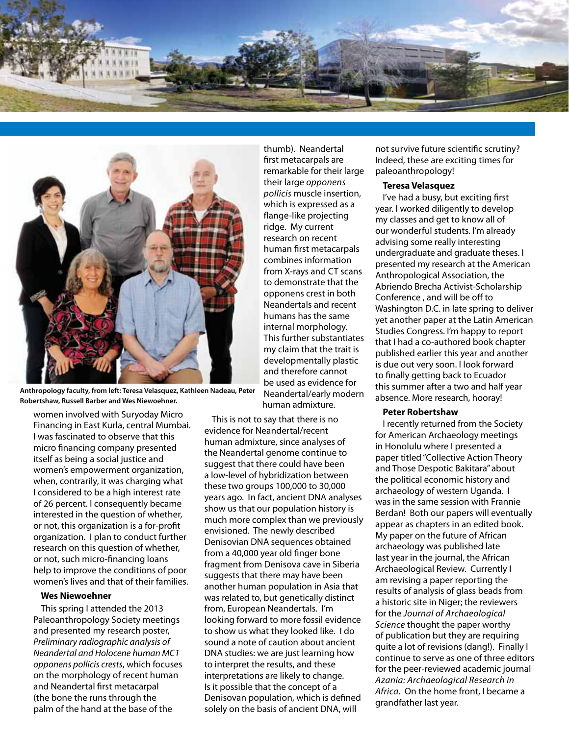



**Anthropology faculty, from left: Teresa Velasquez, Kathleen Nadeau, Peter Robertshaw, Russell Barber and Wes Niewoehner.** 

women involved with Suryoday Micro Financing in East Kurla, central Mumbai. I was fascinated to observe that this micro financing company presented itself as being a social justice and women's empowerment organization, when, contrarily, it was charging what I considered to be a high interest rate of 26 percent. I consequently became interested in the question of whether, or not, this organization is a for-profit organization. I plan to conduct further research on this question of whether, or not, such micro-financing loans help to improve the conditions of poor women's lives and that of their families.

#### **Wes Niewoehner**

This spring I attended the 2013 Paleoanthropology Society meetings and presented my research poster, *Preliminary radiographic analysis of Neandertal and Holocene human MC1 opponens pollicis crests*, which focuses on the morphology of recent human and Neandertal first metacarpal (the bone the runs through the palm of the hand at the base of the

thumb). Neandertal first metacarpals are remarkable for their large their large *opponens pollicis* muscle insertion, which is expressed as a flange-like projecting ridge. My current research on recent human first metacarpals combines information from X-rays and CT scans to demonstrate that the opponens crest in both Neandertals and recent humans has the same internal morphology. This further substantiates my claim that the trait is developmentally plastic and therefore cannot be used as evidence for Neandertal/early modern

human admixture.

This is not to say that there is no evidence for Neandertal/recent human admixture, since analyses of the Neandertal genome continue to suggest that there could have been a low-level of hybridization between these two groups 100,000 to 30,000 years ago. In fact, ancient DNA analyses show us that our population history is much more complex than we previously envisioned. The newly described Denisovian DNA sequences obtained from a 40,000 year old finger bone fragment from Denisova cave in Siberia suggests that there may have been another human population in Asia that was related to, but genetically distinct from, European Neandertals. I'm looking forward to more fossil evidence to show us what they looked like. I do sound a note of caution about ancient DNA studies: we are just learning how to interpret the results, and these interpretations are likely to change. Is it possible that the concept of a Denisovan population, which is defined solely on the basis of ancient DNA, will

not survive future scientific scrutiny? Indeed, these are exciting times for paleoanthropology!

#### **Teresa Velasquez**

I've had a busy, but exciting first year. I worked diligently to develop my classes and get to know all of our wonderful students. I'm already advising some really interesting undergraduate and graduate theses. I presented my research at the American Anthropological Association, the Abriendo Brecha Activist-Scholarship Conference , and will be off to Washington D.C. in late spring to deliver yet another paper at the Latin American Studies Congress. I'm happy to report that I had a co-authored book chapter published earlier this year and another is due out very soon. I look forward to finally getting back to Ecuador this summer after a two and half year absence. More research, hooray!

#### **Peter Robertshaw**

I recently returned from the Society for American Archaeology meetings in Honolulu where I presented a paper titled "Collective Action Theory and Those Despotic Bakitara" about the political economic history and archaeology of western Uganda. I was in the same session with Frannie Berdan! Both our papers will eventually appear as chapters in an edited book. My paper on the future of African archaeology was published late last year in the journal, the African Archaeological Review. Currently I am revising a paper reporting the results of analysis of glass beads from a historic site in Niger; the reviewers for the *Journal of Archaeological Science* thought the paper worthy of publication but they are requiring quite a lot of revisions (dang!). Finally I continue to serve as one of three editors for the peer-reviewed academic journal *Azania: Archaeological Research in Africa*. On the home front, I became a grandfather last year.